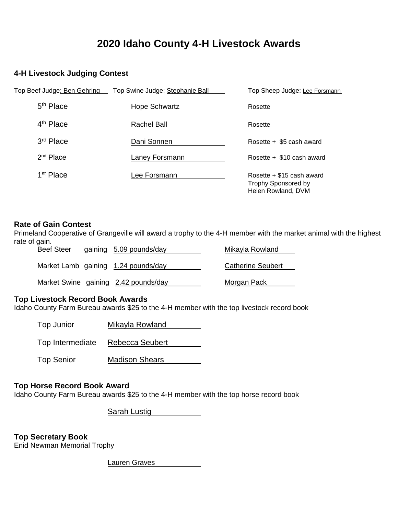# **2020 Idaho County 4-H Livestock Awards**

# **4-H Livestock Judging Contest**

| Top Beef Judge: Ben Gehring | Top Swine Judge: Stephanie Ball | Top Sheep Judge: Lee Forsmann                                                   |
|-----------------------------|---------------------------------|---------------------------------------------------------------------------------|
| $5th$ Place                 | <b>Hope Schwartz</b>            | Rosette                                                                         |
| 4 <sup>th</sup> Place       | Rachel Ball                     | Rosette                                                                         |
| 3rd Place                   | Dani Sonnen                     | Rosette + \$5 cash award                                                        |
| $2nd$ Place                 | Laney Forsmann                  | Rosette + \$10 cash award                                                       |
| 1 <sup>st</sup> Place       | Lee Forsmann                    | Rosette $+$ \$15 cash award<br><b>Trophy Sponsored by</b><br>Helen Rowland, DVM |

#### **Rate of Gain Contest**

Primeland Cooperative of Grangeville will award a trophy to the 4-H member with the market animal with the highest rate of gain.

| <b>Beef Steer</b> | gaining 5.09 pounds/day              | Mikayla Rowland          |
|-------------------|--------------------------------------|--------------------------|
|                   | Market Lamb gaining 1.24 pounds/day  | <b>Catherine Seubert</b> |
|                   | Market Swine gaining 2.42 pounds/day | <b>Morgan Pack</b>       |

# **Top Livestock Record Book Awards**

Idaho County Farm Bureau awards \$25 to the 4-H member with the top livestock record book

| Top Junior | Mikayla Rowland |
|------------|-----------------|
|            |                 |

Top Intermediate Rebecca Seubert

Top Senior Madison Shears

#### **Top Horse Record Book Award**

Idaho County Farm Bureau awards \$25 to the 4-H member with the top horse record book

Sarah Lustig

**Top Secretary Book** Enid Newman Memorial Trophy

Lauren Graves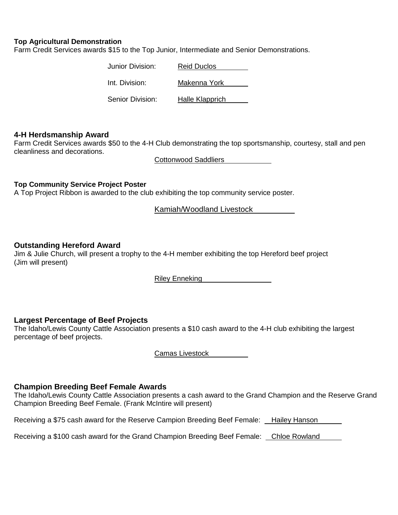#### **Top Agricultural Demonstration**

Farm Credit Services awards \$15 to the Top Junior, Intermediate and Senior Demonstrations.

| Junior Division: | <b>Reid Duclos</b> |
|------------------|--------------------|
| Int. Division:   | Makenna York       |
| Senior Division: | Halle Klapprich    |

#### **4-H Herdsmanship Award**

Farm Credit Services awards \$50 to the 4-H Club demonstrating the top sportsmanship, courtesy, stall and pen cleanliness and decorations.

Cottonwood Saddliers

#### **Top Community Service Project Poster**

A Top Project Ribbon is awarded to the club exhibiting the top community service poster.

Kamiah/Woodland Livestock

#### **Outstanding Hereford Award**

Jim & Julie Church, will present a trophy to the 4-H member exhibiting the top Hereford beef project (Jim will present)

Riley Enneking

#### **Largest Percentage of Beef Projects**

The Idaho/Lewis County Cattle Association presents a \$10 cash award to the 4-H club exhibiting the largest percentage of beef projects.

Camas Livestock

#### **Champion Breeding Beef Female Awards**

The Idaho/Lewis County Cattle Association presents a cash award to the Grand Champion and the Reserve Grand Champion Breeding Beef Female. (Frank McIntire will present)

Receiving a \$75 cash award for the Reserve Campion Breeding Beef Female: Hailey Hanson

Receiving a \$100 cash award for the Grand Champion Breeding Beef Female: Chloe Rowland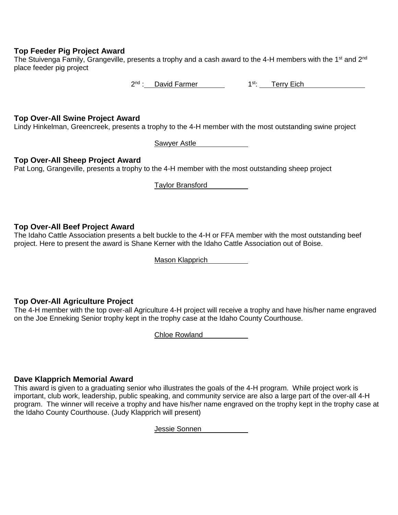#### **Top Feeder Pig Project Award**

The Stuivenga Family, Grangeville, presents a trophy and a cash award to the 4-H members with the 1<sup>st</sup> and 2<sup>nd</sup> place feeder pig project

2<sup>nd</sup> : David Farmer 1<sup>st</sup>: Terry Eich

#### **Top Over-All Swine Project Award**

Lindy Hinkelman, Greencreek, presents a trophy to the 4-H member with the most outstanding swine project

Sawyer Astle

#### **Top Over-All Sheep Project Award**

Pat Long, Grangeville, presents a trophy to the 4-H member with the most outstanding sheep project

Taylor Bransford

# **Top Over-All Beef Project Award**

The Idaho Cattle Association presents a belt buckle to the 4-H or FFA member with the most outstanding beef project. Here to present the award is Shane Kerner with the Idaho Cattle Association out of Boise.

Mason Klapprich

# **Top Over-All Agriculture Project**

The 4-H member with the top over-all Agriculture 4-H project will receive a trophy and have his/her name engraved on the Joe Enneking Senior trophy kept in the trophy case at the Idaho County Courthouse.

Chloe Rowland

# **Dave Klapprich Memorial Award**

This award is given to a graduating senior who illustrates the goals of the 4-H program. While project work is important, club work, leadership, public speaking, and community service are also a large part of the over-all 4-H program. The winner will receive a trophy and have his/her name engraved on the trophy kept in the trophy case at the Idaho County Courthouse. (Judy Klapprich will present)

Jessie Sonnen